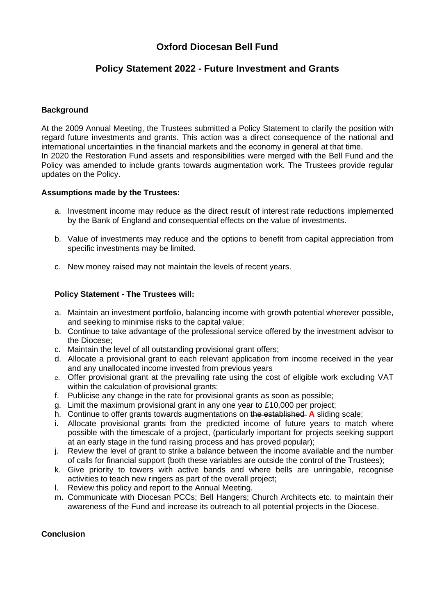# **Oxford Diocesan Bell Fund**

## **Policy Statement 2022 - Future Investment and Grants**

## **Background**

At the 2009 Annual Meeting, the Trustees submitted a Policy Statement to clarify the position with regard future investments and grants. This action was a direct consequence of the national and international uncertainties in the financial markets and the economy in general at that time. In 2020 the Restoration Fund assets and responsibilities were merged with the Bell Fund and the Policy was amended to include grants towards augmentation work. The Trustees provide regular updates on the Policy.

### **Assumptions made by the Trustees:**

- a. Investment income may reduce as the direct result of interest rate reductions implemented by the Bank of England and consequential effects on the value of investments.
- b. Value of investments may reduce and the options to benefit from capital appreciation from specific investments may be limited.
- c. New money raised may not maintain the levels of recent years.

## **Policy Statement - The Trustees will:**

- a. Maintain an investment portfolio, balancing income with growth potential wherever possible, and seeking to minimise risks to the capital value;
- b. Continue to take advantage of the professional service offered by the investment advisor to the Diocese;
- c. Maintain the level of all outstanding provisional grant offers;
- d. Allocate a provisional grant to each relevant application from income received in the year and any unallocated income invested from previous years
- e. Offer provisional grant at the prevailing rate using the cost of eligible work excluding VAT within the calculation of provisional grants;
- f. Publicise any change in the rate for provisional grants as soon as possible;
- g. Limit the maximum provisional grant in any one year to £10,000 per project;
- h. Continue to offer grants towards augmentations on the established **A** sliding scale;
- i. Allocate provisional grants from the predicted income of future years to match where possible with the timescale of a project, (particularly important for projects seeking support at an early stage in the fund raising process and has proved popular);
- j. Review the level of grant to strike a balance between the income available and the number of calls for financial support (both these variables are outside the control of the Trustees);
- k. Give priority to towers with active bands and where bells are unringable, recognise activities to teach new ringers as part of the overall project;
- l. Review this policy and report to the Annual Meeting.
- m. Communicate with Diocesan PCCs; Bell Hangers; Church Architects etc. to maintain their awareness of the Fund and increase its outreach to all potential projects in the Diocese.

#### **Conclusion**